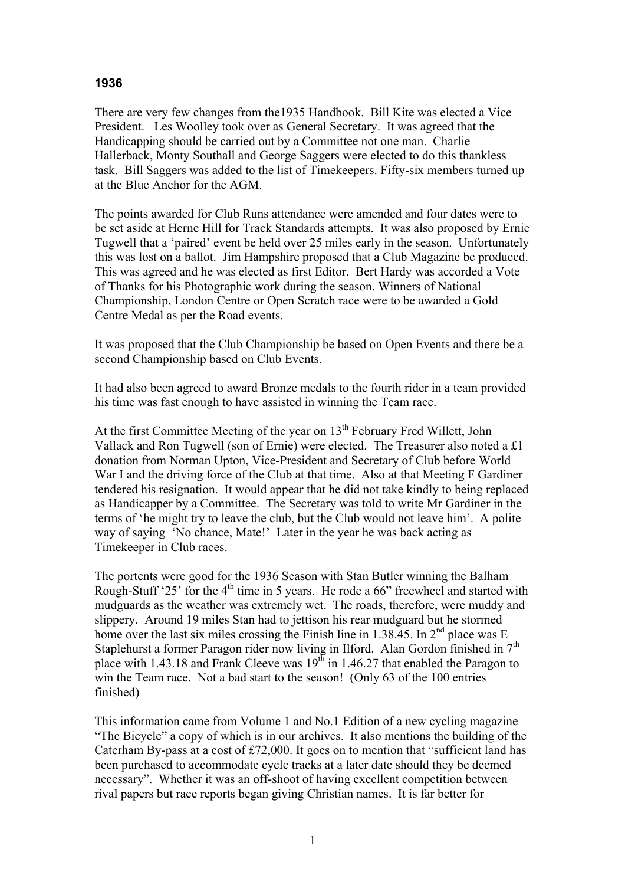## **1936**

There are very few changes from the1935 Handbook. Bill Kite was elected a Vice President. Les Woolley took over as General Secretary. It was agreed that the Handicapping should be carried out by a Committee not one man. Charlie Hallerback, Monty Southall and George Saggers were elected to do this thankless task. Bill Saggers was added to the list of Timekeepers. Fifty-six members turned up at the Blue Anchor for the AGM.

The points awarded for Club Runs attendance were amended and four dates were to be set aside at Herne Hill for Track Standards attempts. It was also proposed by Ernie Tugwell that a 'paired' event be held over 25 miles early in the season. Unfortunately this was lost on a ballot. Jim Hampshire proposed that a Club Magazine be produced. This was agreed and he was elected as first Editor. Bert Hardy was accorded a Vote of Thanks for his Photographic work during the season. Winners of National Championship, London Centre or Open Scratch race were to be awarded a Gold Centre Medal as per the Road events.

It was proposed that the Club Championship be based on Open Events and there be a second Championship based on Club Events.

It had also been agreed to award Bronze medals to the fourth rider in a team provided his time was fast enough to have assisted in winning the Team race.

At the first Committee Meeting of the year on 13<sup>th</sup> February Fred Willett, John Vallack and Ron Tugwell (son of Ernie) were elected. The Treasurer also noted a £1 donation from Norman Upton, Vice-President and Secretary of Club before World War I and the driving force of the Club at that time. Also at that Meeting F Gardiner tendered his resignation. It would appear that he did not take kindly to being replaced as Handicapper by a Committee. The Secretary was told to write Mr Gardiner in the terms of 'he might try to leave the club, but the Club would not leave him'. A polite way of saying 'No chance, Mate!' Later in the year he was back acting as Timekeeper in Club races.

The portents were good for the 1936 Season with Stan Butler winning the Balham Rough-Stuff '25' for the  $4<sup>th</sup>$  time in 5 years. He rode a 66" freewheel and started with mudguards as the weather was extremely wet. The roads, therefore, were muddy and slippery. Around 19 miles Stan had to jettison his rear mudguard but he stormed home over the last six miles crossing the Finish line in 1.38.45. In  $2<sup>nd</sup>$  place was E Staplehurst a former Paragon rider now living in Ilford. Alan Gordon finished in  $7<sup>th</sup>$ place with 1.43.18 and Frank Cleeve was  $19^{th}$  in 1.46.27 that enabled the Paragon to win the Team race. Not a bad start to the season! (Only 63 of the 100 entries finished)

This information came from Volume 1 and No.1 Edition of a new cycling magazine "The Bicycle" a copy of which is in our archives. It also mentions the building of the Caterham By-pass at a cost of £72,000. It goes on to mention that "sufficient land has been purchased to accommodate cycle tracks at a later date should they be deemed necessary". Whether it was an off-shoot of having excellent competition between rival papers but race reports began giving Christian names. It is far better for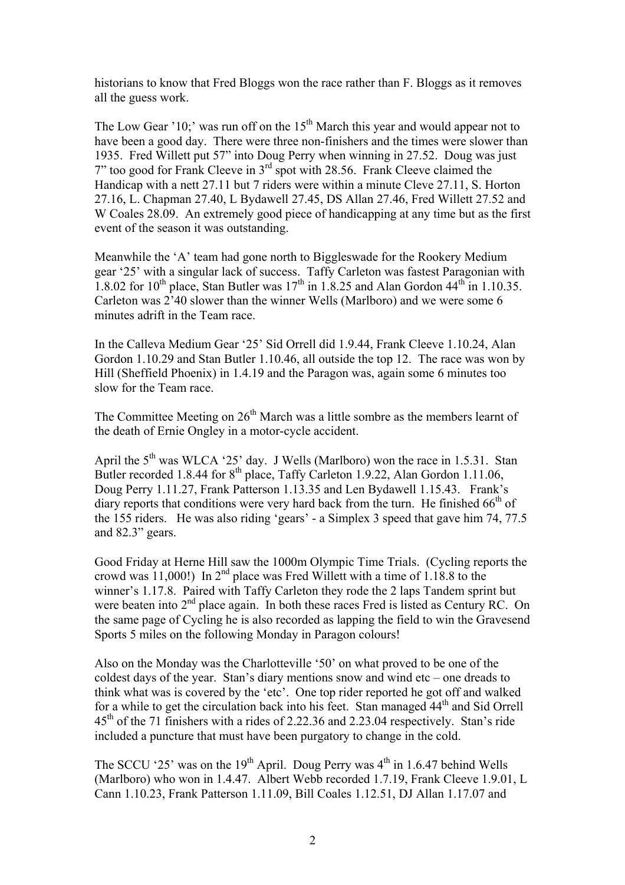historians to know that Fred Bloggs won the race rather than F. Bloggs as it removes all the guess work.

The Low Gear '10;' was run off on the  $15<sup>th</sup>$  March this year and would appear not to have been a good day. There were three non-finishers and the times were slower than 1935. Fred Willett put 57" into Doug Perry when winning in 27.52. Doug was just 7" too good for Frank Cleeve in 3rd spot with 28.56. Frank Cleeve claimed the Handicap with a nett 27.11 but 7 riders were within a minute Cleve 27.11, S. Horton 27.16, L. Chapman 27.40, L Bydawell 27.45, DS Allan 27.46, Fred Willett 27.52 and W Coales 28.09. An extremely good piece of handicapping at any time but as the first event of the season it was outstanding.

Meanwhile the 'A' team had gone north to Biggleswade for the Rookery Medium gear '25' with a singular lack of success. Taffy Carleton was fastest Paragonian with 1.8.02 for  $10^{th}$  place, Stan Butler was  $17^{th}$  in 1.8.25 and Alan Gordon  $44^{th}$  in 1.10.35. Carleton was 2'40 slower than the winner Wells (Marlboro) and we were some 6 minutes adrift in the Team race.

In the Calleva Medium Gear '25' Sid Orrell did 1.9.44, Frank Cleeve 1.10.24, Alan Gordon 1.10.29 and Stan Butler 1.10.46, all outside the top 12. The race was won by Hill (Sheffield Phoenix) in 1.4.19 and the Paragon was, again some 6 minutes too slow for the Team race.

The Committee Meeting on 26<sup>th</sup> March was a little sombre as the members learnt of the death of Ernie Ongley in a motor-cycle accident.

April the  $5<sup>th</sup>$  was WLCA '25' day. J Wells (Marlboro) won the race in 1.5.31. Stan Butler recorded 1.8.44 for  $8<sup>th</sup>$  place, Taffy Carleton 1.9.22, Alan Gordon 1.11.06, Doug Perry 1.11.27, Frank Patterson 1.13.35 and Len Bydawell 1.15.43. Frank's diary reports that conditions were very hard back from the turn. He finished  $66<sup>th</sup>$  of the 155 riders. He was also riding 'gears' - a Simplex 3 speed that gave him 74, 77.5 and 82.3" gears.

Good Friday at Herne Hill saw the 1000m Olympic Time Trials. (Cycling reports the crowd was  $11,000$ !) In  $2<sup>nd</sup>$  place was Fred Willett with a time of 1.18.8 to the winner's 1.17.8. Paired with Taffy Carleton they rode the 2 laps Tandem sprint but were beaten into 2<sup>nd</sup> place again. In both these races Fred is listed as Century RC. On the same page of Cycling he is also recorded as lapping the field to win the Gravesend Sports 5 miles on the following Monday in Paragon colours!

Also on the Monday was the Charlotteville '50' on what proved to be one of the coldest days of the year. Stan's diary mentions snow and wind etc – one dreads to think what was is covered by the 'etc'. One top rider reported he got off and walked for a while to get the circulation back into his feet. Stan managed  $44<sup>th</sup>$  and Sid Orrell 45<sup>th</sup> of the 71 finishers with a rides of 2.22.36 and 2.23.04 respectively. Stan's ride included a puncture that must have been purgatory to change in the cold.

The SCCU '25' was on the 19<sup>th</sup> April. Doug Perry was  $4<sup>th</sup>$  in 1.6.47 behind Wells (Marlboro) who won in 1.4.47. Albert Webb recorded 1.7.19, Frank Cleeve 1.9.01, L Cann 1.10.23, Frank Patterson 1.11.09, Bill Coales 1.12.51, DJ Allan 1.17.07 and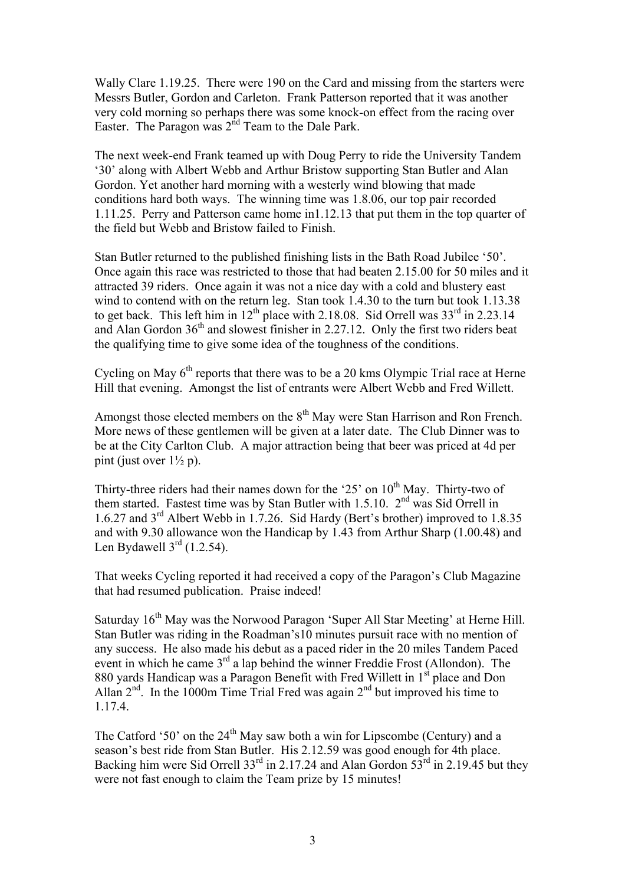Wally Clare 1.19.25. There were 190 on the Card and missing from the starters were Messrs Butler, Gordon and Carleton. Frank Patterson reported that it was another very cold morning so perhaps there was some knock-on effect from the racing over Easter. The Paragon was  $2<sup>nd</sup>$  Team to the Dale Park.

The next week-end Frank teamed up with Doug Perry to ride the University Tandem '30' along with Albert Webb and Arthur Bristow supporting Stan Butler and Alan Gordon. Yet another hard morning with a westerly wind blowing that made conditions hard both ways. The winning time was 1.8.06, our top pair recorded 1.11.25. Perry and Patterson came home in1.12.13 that put them in the top quarter of the field but Webb and Bristow failed to Finish.

Stan Butler returned to the published finishing lists in the Bath Road Jubilee '50'. Once again this race was restricted to those that had beaten 2.15.00 for 50 miles and it attracted 39 riders. Once again it was not a nice day with a cold and blustery east wind to contend with on the return leg. Stan took 1.4.30 to the turn but took 1.13.38 to get back. This left him in  $12<sup>th</sup>$  place with 2.18.08. Sid Orrell was  $33<sup>rd</sup>$  in 2.23.14 and Alan Gordon  $36<sup>th</sup>$  and slowest finisher in 2.27.12. Only the first two riders beat the qualifying time to give some idea of the toughness of the conditions.

Cycling on May  $6<sup>th</sup>$  reports that there was to be a 20 kms Olympic Trial race at Herne Hill that evening. Amongst the list of entrants were Albert Webb and Fred Willett.

Amongst those elected members on the  $8<sup>th</sup>$  May were Stan Harrison and Ron French. More news of these gentlemen will be given at a later date. The Club Dinner was to be at the City Carlton Club. A major attraction being that beer was priced at 4d per pint (just over  $1\frac{1}{2}$  p).

Thirty-three riders had their names down for the '25' on  $10^{th}$  May. Thirty-two of them started. Fastest time was by Stan Butler with 1.5.10.  $2<sup>nd</sup>$  was Sid Orrell in 1.6.27 and 3rd Albert Webb in 1.7.26. Sid Hardy (Bert's brother) improved to 1.8.35 and with 9.30 allowance won the Handicap by 1.43 from Arthur Sharp (1.00.48) and Len Bydawell  $3<sup>rd</sup>$  (1.2.54).

That weeks Cycling reported it had received a copy of the Paragon's Club Magazine that had resumed publication. Praise indeed!

Saturday 16<sup>th</sup> May was the Norwood Paragon 'Super All Star Meeting' at Herne Hill. Stan Butler was riding in the Roadman's10 minutes pursuit race with no mention of any success. He also made his debut as a paced rider in the 20 miles Tandem Paced event in which he came 3<sup>rd</sup> a lap behind the winner Freddie Frost (Allondon). The 880 yards Handicap was a Paragon Benefit with Fred Willett in 1<sup>st</sup> place and Don Allan  $2^{nd}$ . In the 1000m Time Trial Fred was again  $2^{nd}$  but improved his time to 1.17.4.

The Catford '50' on the  $24<sup>th</sup>$  May saw both a win for Lipscombe (Century) and a season's best ride from Stan Butler. His 2.12.59 was good enough for 4th place. Backing him were Sid Orrell 33<sup>rd</sup> in 2.17.24 and Alan Gordon 53<sup>rd</sup> in 2.19.45 but they were not fast enough to claim the Team prize by 15 minutes!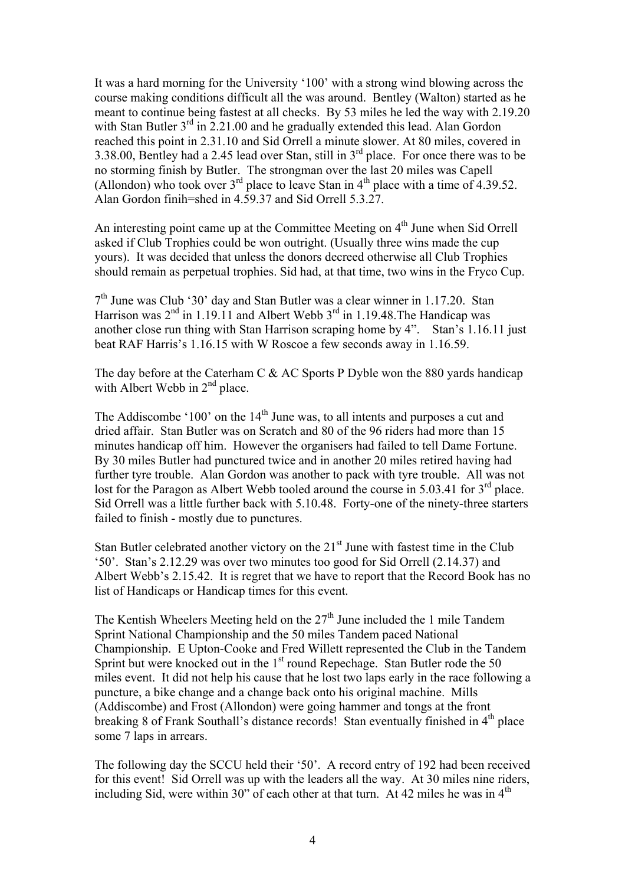It was a hard morning for the University '100' with a strong wind blowing across the course making conditions difficult all the was around. Bentley (Walton) started as he meant to continue being fastest at all checks. By 53 miles he led the way with 2.19.20 with Stan Butler  $3<sup>rd</sup>$  in 2.21.00 and he gradually extended this lead. Alan Gordon reached this point in 2.31.10 and Sid Orrell a minute slower. At 80 miles, covered in 3.38.00, Bentley had a 2.45 lead over Stan, still in  $3<sup>rd</sup>$  place. For once there was to be no storming finish by Butler. The strongman over the last 20 miles was Capell (Allondon) who took over  $3<sup>rd</sup>$  place to leave Stan in  $4<sup>th</sup>$  place with a time of 4.39.52. Alan Gordon finih=shed in 4.59.37 and Sid Orrell 5.3.27.

An interesting point came up at the Committee Meeting on  $4<sup>th</sup>$  June when Sid Orrell asked if Club Trophies could be won outright. (Usually three wins made the cup yours). It was decided that unless the donors decreed otherwise all Club Trophies should remain as perpetual trophies. Sid had, at that time, two wins in the Fryco Cup.

 $7<sup>th</sup>$  June was Club '30' day and Stan Butler was a clear winner in 1.17.20. Stan Harrison was  $2<sup>nd</sup>$  in 1.19.11 and Albert Webb  $3<sup>rd</sup>$  in 1.19.48. The Handicap was another close run thing with Stan Harrison scraping home by 4". Stan's 1.16.11 just beat RAF Harris's 1.16.15 with W Roscoe a few seconds away in 1.16.59.

The day before at the Caterham C & AC Sports P Dyble won the 880 yards handicap with Albert Webb in  $2<sup>nd</sup>$  place.

The Addiscombe '100' on the  $14<sup>th</sup>$  June was, to all intents and purposes a cut and dried affair. Stan Butler was on Scratch and 80 of the 96 riders had more than 15 minutes handicap off him. However the organisers had failed to tell Dame Fortune. By 30 miles Butler had punctured twice and in another 20 miles retired having had further tyre trouble. Alan Gordon was another to pack with tyre trouble. All was not lost for the Paragon as Albert Webb tooled around the course in 5.03.41 for 3<sup>rd</sup> place. Sid Orrell was a little further back with 5.10.48. Forty-one of the ninety-three starters failed to finish - mostly due to punctures.

Stan Butler celebrated another victory on the  $21<sup>st</sup>$  June with fastest time in the Club '50'. Stan's 2.12.29 was over two minutes too good for Sid Orrell (2.14.37) and Albert Webb's 2.15.42. It is regret that we have to report that the Record Book has no list of Handicaps or Handicap times for this event.

The Kentish Wheelers Meeting held on the 27<sup>th</sup> June included the 1 mile Tandem Sprint National Championship and the 50 miles Tandem paced National Championship. E Upton-Cooke and Fred Willett represented the Club in the Tandem Sprint but were knocked out in the  $1<sup>st</sup>$  round Repechage. Stan Butler rode the 50 miles event. It did not help his cause that he lost two laps early in the race following a puncture, a bike change and a change back onto his original machine. Mills (Addiscombe) and Frost (Allondon) were going hammer and tongs at the front breaking 8 of Frank Southall's distance records! Stan eventually finished in 4<sup>th</sup> place some 7 laps in arrears.

The following day the SCCU held their '50'. A record entry of 192 had been received for this event! Sid Orrell was up with the leaders all the way. At 30 miles nine riders, including Sid, were within 30" of each other at that turn. At 42 miles he was in  $4<sup>th</sup>$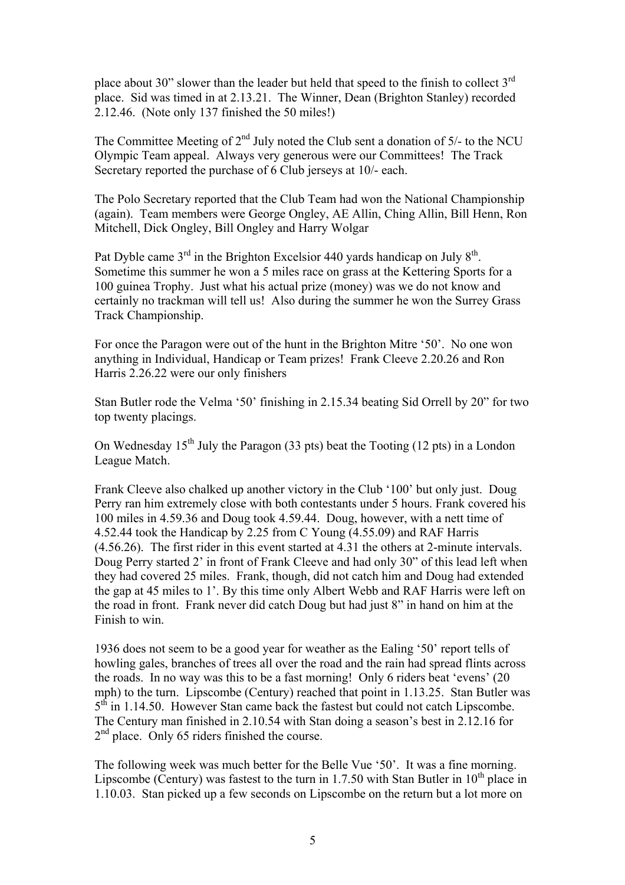place about 30" slower than the leader but held that speed to the finish to collect 3<sup>rd</sup> place. Sid was timed in at 2.13.21. The Winner, Dean (Brighton Stanley) recorded 2.12.46. (Note only 137 finished the 50 miles!)

The Committee Meeting of  $2<sup>nd</sup>$  July noted the Club sent a donation of 5/- to the NCU Olympic Team appeal. Always very generous were our Committees! The Track Secretary reported the purchase of 6 Club jerseys at 10/- each.

The Polo Secretary reported that the Club Team had won the National Championship (again). Team members were George Ongley, AE Allin, Ching Allin, Bill Henn, Ron Mitchell, Dick Ongley, Bill Ongley and Harry Wolgar

Pat Dyble came  $3<sup>rd</sup>$  in the Brighton Excelsior 440 yards handicap on July  $8<sup>th</sup>$ . Sometime this summer he won a 5 miles race on grass at the Kettering Sports for a 100 guinea Trophy. Just what his actual prize (money) was we do not know and certainly no trackman will tell us! Also during the summer he won the Surrey Grass Track Championship.

For once the Paragon were out of the hunt in the Brighton Mitre '50'. No one won anything in Individual, Handicap or Team prizes! Frank Cleeve 2.20.26 and Ron Harris 2.26.22 were our only finishers

Stan Butler rode the Velma '50' finishing in 2.15.34 beating Sid Orrell by 20" for two top twenty placings.

On Wednesday  $15<sup>th</sup>$  July the Paragon (33 pts) beat the Tooting (12 pts) in a London League Match.

Frank Cleeve also chalked up another victory in the Club '100' but only just. Doug Perry ran him extremely close with both contestants under 5 hours. Frank covered his 100 miles in 4.59.36 and Doug took 4.59.44. Doug, however, with a nett time of 4.52.44 took the Handicap by 2.25 from C Young (4.55.09) and RAF Harris (4.56.26). The first rider in this event started at 4.31 the others at 2-minute intervals. Doug Perry started 2' in front of Frank Cleeve and had only 30" of this lead left when they had covered 25 miles. Frank, though, did not catch him and Doug had extended the gap at 45 miles to 1'. By this time only Albert Webb and RAF Harris were left on the road in front. Frank never did catch Doug but had just 8" in hand on him at the Finish to win.

1936 does not seem to be a good year for weather as the Ealing '50' report tells of howling gales, branches of trees all over the road and the rain had spread flints across the roads. In no way was this to be a fast morning! Only 6 riders beat 'evens' (20 mph) to the turn. Lipscombe (Century) reached that point in 1.13.25. Stan Butler was  $5<sup>th</sup>$  in 1.14.50. However Stan came back the fastest but could not catch Lipscombe. The Century man finished in 2.10.54 with Stan doing a season's best in 2.12.16 for  $2<sup>nd</sup>$  place. Only 65 riders finished the course.

The following week was much better for the Belle Vue '50'. It was a fine morning. Lipscombe (Century) was fastest to the turn in 1.7.50 with Stan Butler in  $10^{th}$  place in 1.10.03. Stan picked up a few seconds on Lipscombe on the return but a lot more on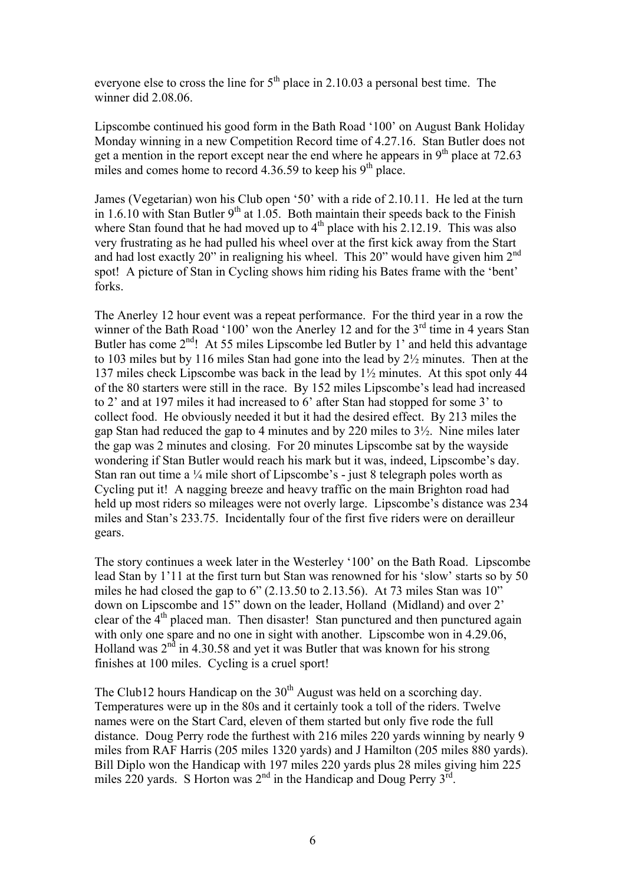everyone else to cross the line for  $5<sup>th</sup>$  place in 2.10.03 a personal best time. The winner did 2.08.06.

Lipscombe continued his good form in the Bath Road '100' on August Bank Holiday Monday winning in a new Competition Record time of 4.27.16. Stan Butler does not get a mention in the report except near the end where he appears in  $9<sup>th</sup>$  place at 72.63 miles and comes home to record  $4.36.59$  to keep his 9<sup>th</sup> place.

James (Vegetarian) won his Club open '50' with a ride of 2.10.11. He led at the turn in 1.6.10 with Stan Butler  $9<sup>th</sup>$  at 1.05. Both maintain their speeds back to the Finish where Stan found that he had moved up to  $4<sup>th</sup>$  place with his 2.12.19. This was also very frustrating as he had pulled his wheel over at the first kick away from the Start and had lost exactly 20" in realigning his wheel. This 20" would have given him 2<sup>nd</sup> spot! A picture of Stan in Cycling shows him riding his Bates frame with the 'bent' forks.

The Anerley 12 hour event was a repeat performance. For the third year in a row the winner of the Bath Road '100' won the Anerley 12 and for the 3<sup>rd</sup> time in 4 years Stan Butler has come  $2<sup>nd</sup>$ ! At 55 miles Lipscombe led Butler by 1' and held this advantage to 103 miles but by 116 miles Stan had gone into the lead by 2½ minutes. Then at the 137 miles check Lipscombe was back in the lead by 1½ minutes. At this spot only 44 of the 80 starters were still in the race. By 152 miles Lipscombe's lead had increased to 2' and at 197 miles it had increased to 6' after Stan had stopped for some 3' to collect food. He obviously needed it but it had the desired effect. By 213 miles the gap Stan had reduced the gap to 4 minutes and by 220 miles to 3½. Nine miles later the gap was 2 minutes and closing. For 20 minutes Lipscombe sat by the wayside wondering if Stan Butler would reach his mark but it was, indeed, Lipscombe's day. Stan ran out time a  $\frac{1}{4}$  mile short of Lipscombe's - just 8 telegraph poles worth as Cycling put it! A nagging breeze and heavy traffic on the main Brighton road had held up most riders so mileages were not overly large. Lipscombe's distance was 234 miles and Stan's 233.75. Incidentally four of the first five riders were on derailleur gears.

The story continues a week later in the Westerley '100' on the Bath Road. Lipscombe lead Stan by 1'11 at the first turn but Stan was renowned for his 'slow' starts so by 50 miles he had closed the gap to 6" (2.13.50 to 2.13.56). At 73 miles Stan was 10" down on Lipscombe and 15" down on the leader, Holland (Midland) and over 2' clear of the 4<sup>th</sup> placed man. Then disaster! Stan punctured and then punctured again with only one spare and no one in sight with another. Lipscombe won in 4.29.06, Holland was  $2<sup>nd</sup>$  in 4.30.58 and yet it was Butler that was known for his strong finishes at 100 miles. Cycling is a cruel sport!

The Club12 hours Handicap on the  $30<sup>th</sup>$  August was held on a scorching day. Temperatures were up in the 80s and it certainly took a toll of the riders. Twelve names were on the Start Card, eleven of them started but only five rode the full distance. Doug Perry rode the furthest with 216 miles 220 yards winning by nearly 9 miles from RAF Harris (205 miles 1320 yards) and J Hamilton (205 miles 880 yards). Bill Diplo won the Handicap with 197 miles 220 yards plus 28 miles giving him 225 miles 220 yards. S Horton was  $2^{nd}$  in the Handicap and Doug Perry  $3^{rd}$ .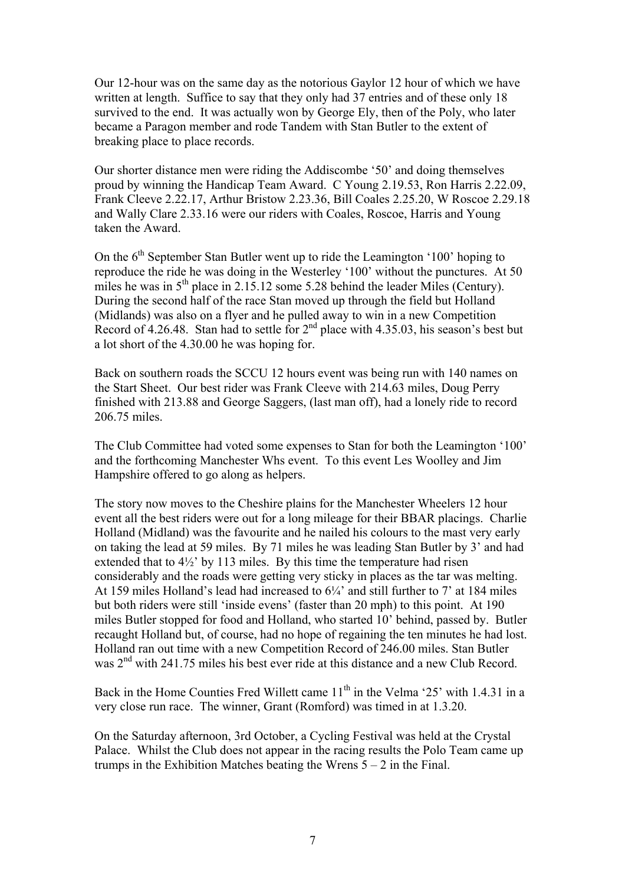Our 12-hour was on the same day as the notorious Gaylor 12 hour of which we have written at length. Suffice to say that they only had 37 entries and of these only 18 survived to the end. It was actually won by George Ely, then of the Poly, who later became a Paragon member and rode Tandem with Stan Butler to the extent of breaking place to place records.

Our shorter distance men were riding the Addiscombe '50' and doing themselves proud by winning the Handicap Team Award. C Young 2.19.53, Ron Harris 2.22.09, Frank Cleeve 2.22.17, Arthur Bristow 2.23.36, Bill Coales 2.25.20, W Roscoe 2.29.18 and Wally Clare 2.33.16 were our riders with Coales, Roscoe, Harris and Young taken the Award.

On the  $6<sup>th</sup>$  September Stan Butler went up to ride the Leamington '100' hoping to reproduce the ride he was doing in the Westerley '100' without the punctures. At 50 miles he was in  $5<sup>th</sup>$  place in 2.15.12 some 5.28 behind the leader Miles (Century). During the second half of the race Stan moved up through the field but Holland (Midlands) was also on a flyer and he pulled away to win in a new Competition Record of 4.26.48. Stan had to settle for  $2<sup>nd</sup>$  place with 4.35.03, his season's best but a lot short of the 4.30.00 he was hoping for.

Back on southern roads the SCCU 12 hours event was being run with 140 names on the Start Sheet. Our best rider was Frank Cleeve with 214.63 miles, Doug Perry finished with 213.88 and George Saggers, (last man off), had a lonely ride to record 206.75 miles.

The Club Committee had voted some expenses to Stan for both the Leamington '100' and the forthcoming Manchester Whs event. To this event Les Woolley and Jim Hampshire offered to go along as helpers.

The story now moves to the Cheshire plains for the Manchester Wheelers 12 hour event all the best riders were out for a long mileage for their BBAR placings. Charlie Holland (Midland) was the favourite and he nailed his colours to the mast very early on taking the lead at 59 miles. By 71 miles he was leading Stan Butler by 3' and had extended that to 4½' by 113 miles. By this time the temperature had risen considerably and the roads were getting very sticky in places as the tar was melting. At 159 miles Holland's lead had increased to  $6\frac{1}{4}$  and still further to 7' at 184 miles but both riders were still 'inside evens' (faster than 20 mph) to this point. At 190 miles Butler stopped for food and Holland, who started 10' behind, passed by. Butler recaught Holland but, of course, had no hope of regaining the ten minutes he had lost. Holland ran out time with a new Competition Record of 246.00 miles. Stan Butler was  $2<sup>nd</sup>$  with 241.75 miles his best ever ride at this distance and a new Club Record.

Back in the Home Counties Fred Willett came  $11<sup>th</sup>$  in the Velma '25' with 1.4.31 in a very close run race. The winner, Grant (Romford) was timed in at 1.3.20.

On the Saturday afternoon, 3rd October, a Cycling Festival was held at the Crystal Palace. Whilst the Club does not appear in the racing results the Polo Team came up trumps in the Exhibition Matches beating the Wrens  $5 - 2$  in the Final.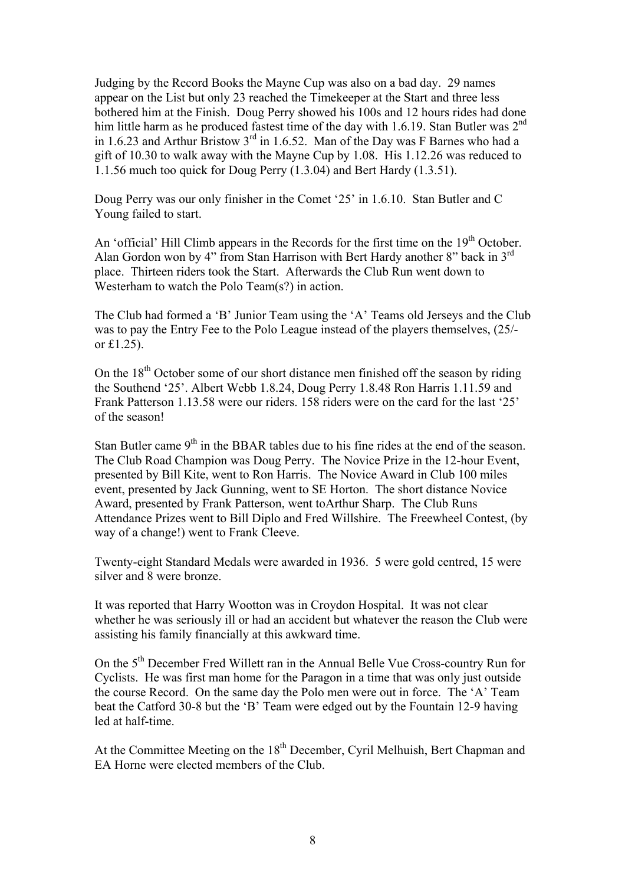Judging by the Record Books the Mayne Cup was also on a bad day. 29 names appear on the List but only 23 reached the Timekeeper at the Start and three less bothered him at the Finish. Doug Perry showed his 100s and 12 hours rides had done him little harm as he produced fastest time of the day with 1.6.19. Stan Butler was  $2<sup>nd</sup>$ in 1.6.23 and Arthur Bristow  $3<sup>rd</sup>$  in 1.6.52. Man of the Day was F Barnes who had a gift of 10.30 to walk away with the Mayne Cup by 1.08. His 1.12.26 was reduced to 1.1.56 much too quick for Doug Perry (1.3.04) and Bert Hardy (1.3.51).

Doug Perry was our only finisher in the Comet '25' in 1.6.10. Stan Butler and C Young failed to start.

An 'official' Hill Climb appears in the Records for the first time on the 19<sup>th</sup> October. Alan Gordon won by 4" from Stan Harrison with Bert Hardy another 8" back in 3rd place. Thirteen riders took the Start. Afterwards the Club Run went down to Westerham to watch the Polo Team(s?) in action.

The Club had formed a 'B' Junior Team using the 'A' Teams old Jerseys and the Club was to pay the Entry Fee to the Polo League instead of the players themselves, (25/ or £1.25).

On the  $18<sup>th</sup>$  October some of our short distance men finished off the season by riding the Southend '25'. Albert Webb 1.8.24, Doug Perry 1.8.48 Ron Harris 1.11.59 and Frank Patterson 1.13.58 were our riders. 158 riders were on the card for the last '25' of the season!

Stan Butler came 9<sup>th</sup> in the BBAR tables due to his fine rides at the end of the season. The Club Road Champion was Doug Perry. The Novice Prize in the 12-hour Event, presented by Bill Kite, went to Ron Harris. The Novice Award in Club 100 miles event, presented by Jack Gunning, went to SE Horton. The short distance Novice Award, presented by Frank Patterson, went toArthur Sharp. The Club Runs Attendance Prizes went to Bill Diplo and Fred Willshire. The Freewheel Contest, (by way of a change!) went to Frank Cleeve.

Twenty-eight Standard Medals were awarded in 1936. 5 were gold centred, 15 were silver and 8 were bronze.

It was reported that Harry Wootton was in Croydon Hospital. It was not clear whether he was seriously ill or had an accident but whatever the reason the Club were assisting his family financially at this awkward time.

On the 5th December Fred Willett ran in the Annual Belle Vue Cross-country Run for Cyclists. He was first man home for the Paragon in a time that was only just outside the course Record. On the same day the Polo men were out in force. The 'A' Team beat the Catford 30-8 but the 'B' Team were edged out by the Fountain 12-9 having led at half-time.

At the Committee Meeting on the 18<sup>th</sup> December, Cyril Melhuish, Bert Chapman and EA Horne were elected members of the Club.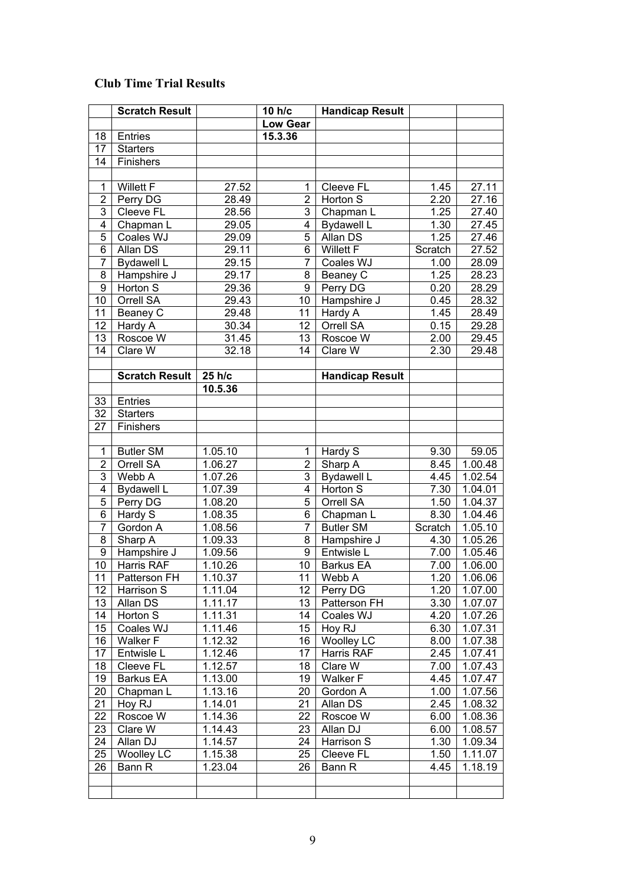## **Club Time Trial Results**

|                 | <b>Scratch Result</b>         |                      | 10 h/c              | <b>Handicap Result</b> |         |                    |
|-----------------|-------------------------------|----------------------|---------------------|------------------------|---------|--------------------|
|                 |                               |                      | <b>Low Gear</b>     |                        |         |                    |
| 18              | Entries                       |                      | 15.3.36             |                        |         |                    |
| 17              | <b>Starters</b>               |                      |                     |                        |         |                    |
| 14              | Finishers                     |                      |                     |                        |         |                    |
|                 |                               |                      |                     |                        |         |                    |
| $\mathbf{1}$    | <b>Willett F</b>              | 27.52                | 1                   | Cleeve FL              | 1.45    | 27.11              |
| $\overline{2}$  | Perry DG                      | 28.49                | $\overline{2}$      | Horton S               | 2.20    | 27.16              |
| 3               | Cleeve FL                     | 28.56                | $\overline{3}$      | Chapman L              | 1.25    | 27.40              |
| 4               | Chapman L                     | 29.05                | 4                   | <b>Bydawell L</b>      | 1.30    | 27.45              |
| 5               | Coales WJ                     | 29.09                | 5                   | Allan DS               | 1.25    | 27.46              |
| 6               | Allan DS                      | 29.11                | 6                   | Willett F              | Scratch | 27.52              |
| $\overline{7}$  | <b>Bydawell L</b>             | 29.15                | $\overline{7}$      | Coales WJ              | 1.00    | 28.09              |
| 8               | Hampshire J                   | 29.17                | 8                   | Beaney C               | 1.25    | 28.23              |
| 9               | Horton S                      | 29.36                | 9                   | Perry DG               | 0.20    | 28.29              |
| 10              | Orrell SA                     | 29.43                | 10                  | Hampshire J            | 0.45    | 28.32              |
| 11              | Beaney C                      | 29.48                | 11                  | Hardy A                | 1.45    | 28.49              |
| 12              | Hardy A                       | 30.34                | 12 <sub>2</sub>     | Orrell SA              | 0.15    | 29.28              |
| 13              | Roscoe W                      | 31.45                | 13                  | Roscoe W               | 2.00    | 29.45              |
| 14              | Clare W                       | 32.18                | 14                  | Clare W                | 2.30    | 29.48              |
|                 |                               |                      |                     |                        |         |                    |
|                 | <b>Scratch Result</b>         | 25 h/c               |                     | <b>Handicap Result</b> |         |                    |
|                 |                               | 10.5.36              |                     |                        |         |                    |
| 33              | Entries                       |                      |                     |                        |         |                    |
| 32              | <b>Starters</b>               |                      |                     |                        |         |                    |
| 27              | Finishers                     |                      |                     |                        |         |                    |
|                 |                               |                      |                     |                        |         |                    |
| $\mathbf{1}$    |                               |                      |                     |                        |         |                    |
| $\overline{2}$  | <b>Butler SM</b><br>Orrell SA | 1.05.10              | 1<br>$\overline{2}$ | Hardy S                | 9.30    | 59.05              |
| 3               | Webb A                        | 1.06.27              | $\overline{3}$      | Sharp A                | 8.45    | 1.00.48<br>1.02.54 |
| 4               |                               | 1.07.26              | 4                   | <b>Bydawell L</b>      | 4.45    |                    |
| 5               | <b>Bydawell L</b>             | 1.07.39              | $\overline{5}$      | Horton S               | 7.30    | 1.04.01            |
| 6               | Perry DG                      | 1.08.20              | 6                   | Orrell SA              | 1.50    | 1.04.37            |
| $\overline{7}$  | Hardy S                       | 1.08.35              | $\overline{7}$      | Chapman L              | 8.30    | 1.04.46            |
|                 | Gordon A                      | 1.08.56              |                     | <b>Butler SM</b>       | Scratch | 1.05.10            |
| 8               | Sharp A                       | 1.09.33              | 8                   | Hampshire J            | 4.30    | 1.05.26            |
| $\overline{9}$  | Hampshire J                   | 1.09.56              | 9                   | Entwisle L             | 7.00    | 1.05.46            |
| 10              | Harris RAF                    | 1.10.26              | 10 <sup>1</sup>     | <b>Barkus EA</b>       | 7.00    | 1.06.00            |
| $\overline{11}$ | Patterson FH                  | $1.\overline{10.37}$ | 11                  | Webb A                 | 1.20    | 1.06.06            |
| 12 <sub>2</sub> | Harrison S                    | 1.11.04              | 12 <sup>2</sup>     | Perry DG               | 1.20    | 1.07.00            |
| 13              | Allan DS                      | 1.11.17              | 13                  | Patterson FH           | 3.30    | 1.07.07            |
| 14              | Horton S                      | 1.11.31              | 14                  | Coales WJ              | 4.20    | 1.07.26            |
| 15              | Coales WJ                     | 1.11.46              | 15                  | Hoy RJ                 | 6.30    | 1.07.31            |
| 16              | Walker F                      | 1.12.32              | 16                  | <b>Woolley LC</b>      | 8.00    | 1.07.38            |
| 17              | Entwisle L                    | 1.12.46              | 17                  | Harris RAF             | 2.45    | 1.07.41            |
| 18              | Cleeve FL                     | 1.12.57              | 18                  | Clare W                | 7.00    | 1.07.43            |
| 19              | Barkus EA                     | 1.13.00              | 19                  | Walker F               | 4.45    | 1.07.47            |
| 20              | Chapman L                     | 1.13.16              | 20                  | Gordon A               | 1.00    | 1.07.56            |
| 21              | Hoy RJ                        | 1.14.01              | 21                  | Allan DS               | 2.45    | 1.08.32            |
| 22              | Roscoe W                      | 1.14.36              | 22                  | Roscoe W               | 6.00    | 1.08.36            |
| 23              | Clare W                       | 1.14.43              | 23                  | Allan DJ               | 6.00    | 1.08.57            |
| 24              | Allan DJ                      | 1.14.57              | 24                  | Harrison S             | 1.30    | 1.09.34            |
| 25              | <b>Woolley LC</b>             | 1.15.38              | 25                  | Cleeve FL              | 1.50    | 1.11.07            |
| 26              | Bann R                        | 1.23.04              | 26                  | Bann R                 | 4.45    | 1.18.19            |
|                 |                               |                      |                     |                        |         |                    |
|                 |                               |                      |                     |                        |         |                    |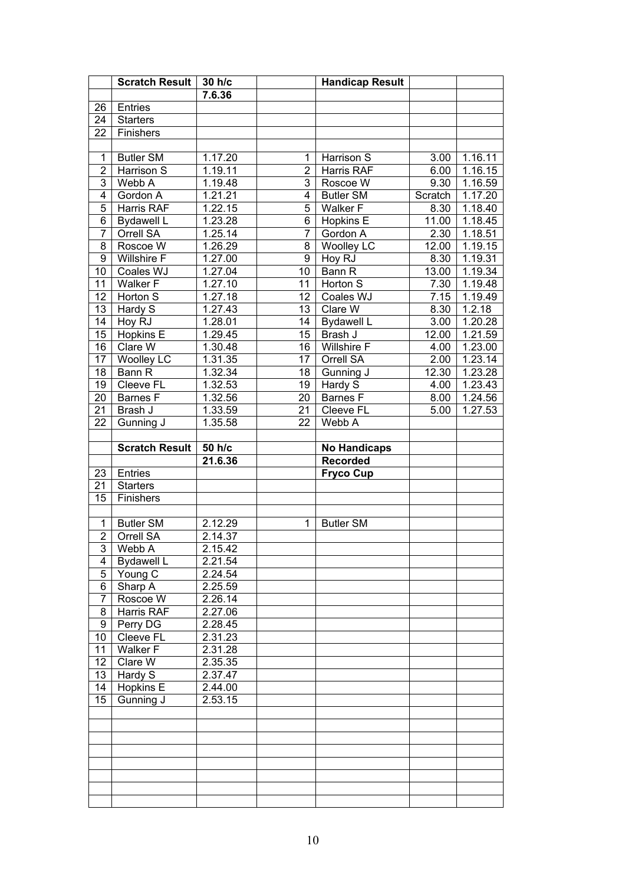|                 | <b>Scratch Result</b>        | 30 h/c               |                       | <b>Handicap Result</b> |         |                      |
|-----------------|------------------------------|----------------------|-----------------------|------------------------|---------|----------------------|
|                 |                              | 7.6.36               |                       |                        |         |                      |
| 26              | Entries                      |                      |                       |                        |         |                      |
| 24              | <b>Starters</b>              |                      |                       |                        |         |                      |
| 22              | Finishers                    |                      |                       |                        |         |                      |
|                 |                              |                      |                       |                        |         |                      |
| $\mathbf{1}$    | <b>Butler SM</b>             | 1.17.20              | $\mathbf 1$           | Harrison S             | 3.00    | 1.16.11              |
| $\overline{2}$  | Harrison S                   | 1.19.11              | $\overline{2}$        | Harris RAF             | 6.00    | 1.16.15              |
| $\overline{3}$  | Webb A                       | 1.19.48              | $\overline{3}$        | Roscoe W               | 9.30    | 1.16.59              |
| $\overline{4}$  | Gordon A                     | 1.21.21              | $\overline{4}$        | <b>Butler SM</b>       | Scratch | 1.17.20              |
| $\overline{5}$  | Harris RAF                   | 1.22.15              | $\overline{5}$        | Walker F               | 8.30    | 1.18.40              |
| $\overline{6}$  | Bydawell L                   | 1.23.28              | $\overline{6}$        | Hopkins E              | 11.00   | 1.18.45              |
| $\overline{7}$  | Orrell SA                    | 1.25.14              | $\overline{7}$        | Gordon A               | 2.30    | 1.18.51              |
| $\overline{8}$  | Roscoe W                     | 1.26.29              | $\overline{8}$        | <b>Woolley LC</b>      | 12.00   | 1.19.15              |
| $\overline{9}$  | <b>Willshire F</b>           | 1.27.00              | $\overline{9}$        | Hoy RJ                 | 8.30    | 1.19.31              |
| 10              | Coales WJ                    | 1.27.04              | $\overline{10}$       | Bann R                 | 13.00   | 1.19.34              |
| 11              | Walker <sub>F</sub>          | 1.27.10              | 11                    | Horton S               | 7.30    | 1.19.48              |
| 12              | Horton S                     | 1.27.18              | 12                    | Coales WJ              | 7.15    | 1.19.49              |
| 13              | Hardy S                      | 1.27.43              | 13                    | Clare W                | 8.30    | 1.2.18               |
| 14              | Hoy RJ                       | 1.28.01              | 14                    | <b>Bydawell L</b>      | 3.00    | 1.20.28              |
| 15              | Hopkins E                    | 1.29.45              | 15                    | Brash J                | 12.00   | 1.21.59              |
| 16              | Clare W                      | 1.30.48              | 16                    | <b>Willshire F</b>     | 4.00    | 1.23.00              |
| 17              | <b>Woolley LC</b>            | 1.31.35              | 17                    | Orrell SA              | 2.00    | $1.\overline{23.14}$ |
| 18              | Bann R                       | 1.32.34              | $\overline{18}$       | Gunning J              | 12.30   | 1.23.28              |
| 19              | Cleeve <sub>FL</sub>         | 1.32.53              | 19                    | Hardy S                | 4.00    | 1.23.43              |
| 20              | <b>Barnes F</b>              | 1.32.56              | 20<br>$\overline{21}$ | <b>Barnes F</b>        | 8.00    | 1.24.56              |
| 21<br>22        | Brash J<br>Gunning J         | 1.33.59<br>1.35.58   | 22                    | Cleeve FL<br>Webb A    | 5.00    | 1.27.53              |
|                 |                              |                      |                       |                        |         |                      |
|                 |                              |                      |                       |                        |         |                      |
|                 |                              |                      |                       |                        |         |                      |
|                 | <b>Scratch Result</b>        | 50 h/c               |                       | <b>No Handicaps</b>    |         |                      |
|                 |                              | 21.6.36              |                       | <b>Recorded</b>        |         |                      |
| 23              | Entries                      |                      |                       | <b>Fryco Cup</b>       |         |                      |
| 21              | <b>Starters</b>              |                      |                       |                        |         |                      |
| 15              | Finishers                    |                      |                       |                        |         |                      |
| $\mathbf{1}$    |                              |                      | 1                     |                        |         |                      |
|                 | <b>Butler SM</b>             | 2.12.29              |                       | <b>Butler SM</b>       |         |                      |
| $\overline{2}$  | Orrell SA                    | 2.14.37              |                       |                        |         |                      |
| 4               | 3 Webb A                     | 2.15.42<br>2.21.54   |                       |                        |         |                      |
| 5               | <b>Bydawell L</b><br>Young C | 2.24.54              |                       |                        |         |                      |
| 6               | Sharp A                      | $2.\overline{25.59}$ |                       |                        |         |                      |
| $\overline{7}$  | Roscoe W                     | 2.26.14              |                       |                        |         |                      |
| 8               | <b>Harris RAF</b>            | 2.27.06              |                       |                        |         |                      |
| $\overline{9}$  | Perry DG                     | 2.28.45              |                       |                        |         |                      |
| 10              | Cleeve FL                    | 2.31.23              |                       |                        |         |                      |
| 11              | Walker <sub>F</sub>          | 2.31.28              |                       |                        |         |                      |
| 12 <sup>°</sup> | Clare W                      | 2.35.35              |                       |                        |         |                      |
| 13              | Hardy S                      | 2.37.47              |                       |                        |         |                      |
| 14              | Hopkins E                    | 2.44.00              |                       |                        |         |                      |
| 15              | Gunning J                    | 2.53.15              |                       |                        |         |                      |
|                 |                              |                      |                       |                        |         |                      |
|                 |                              |                      |                       |                        |         |                      |
|                 |                              |                      |                       |                        |         |                      |
|                 |                              |                      |                       |                        |         |                      |
|                 |                              |                      |                       |                        |         |                      |
|                 |                              |                      |                       |                        |         |                      |
|                 |                              |                      |                       |                        |         |                      |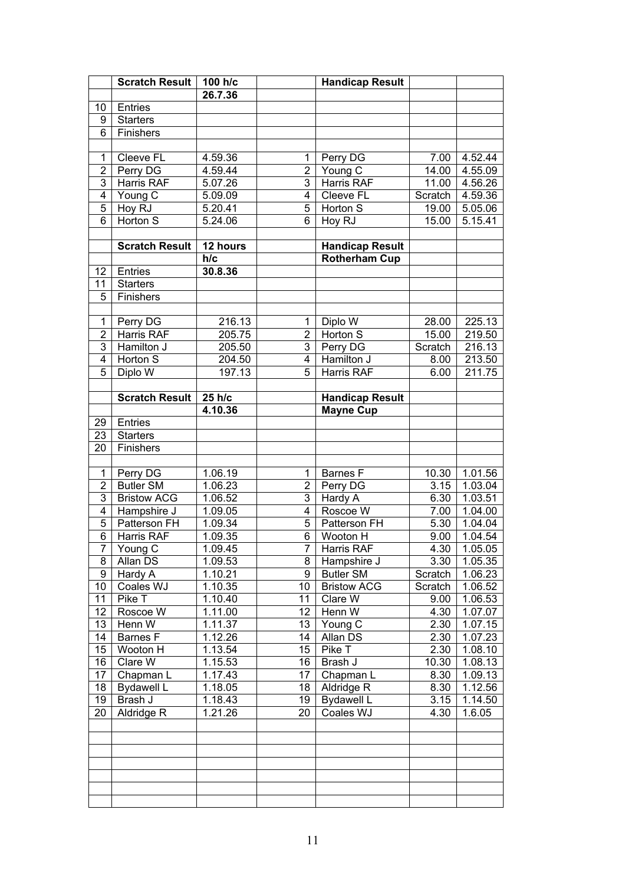|                                  | Scratch Result   100 h/c    |                       |                     | <b>Handicap Result</b>          |                   |                    |
|----------------------------------|-----------------------------|-----------------------|---------------------|---------------------------------|-------------------|--------------------|
|                                  |                             | 26.7.36               |                     |                                 |                   |                    |
| 10                               | Entries                     |                       |                     |                                 |                   |                    |
| 9                                | <b>Starters</b>             |                       |                     |                                 |                   |                    |
| 6                                | Finishers                   |                       |                     |                                 |                   |                    |
|                                  |                             |                       |                     |                                 |                   |                    |
| $\mathbf 1$                      | Cleeve FL                   | 4.59.36               | 1                   | Perry DG                        | 7.00              | 4.52.44            |
| $\overline{2}$                   | Perry DG                    | 4.59.44               | $\overline{2}$      | Young C                         | 14.00             | 4.55.09            |
| $\overline{3}$                   | Harris RAF                  | 5.07.26               | 3                   | Harris RAF                      | 11.00             | 4.56.26            |
| $\overline{4}$                   | Young C                     | 5.09.09               | 4                   | Cleeve FL                       | Scratch           | 4.59.36            |
| 5                                | Hoy RJ                      | 5.20.41               | 5                   | Horton S                        | 19.00             | 5.05.06            |
| $\overline{6}$                   | Horton S                    | 5.24.06               | 6                   | Hoy RJ                          | 15.00             | 5.15.41            |
|                                  |                             |                       |                     |                                 |                   |                    |
|                                  | <b>Scratch Result</b>       | 12 hours              |                     | <b>Handicap Result</b>          |                   |                    |
|                                  |                             | h/c                   |                     | <b>Rotherham Cup</b>            |                   |                    |
| 12 <sup>°</sup>                  | Entries                     | 30.8.36               |                     |                                 |                   |                    |
| 11                               | <b>Starters</b>             |                       |                     |                                 |                   |                    |
| 5                                | Finishers                   |                       |                     |                                 |                   |                    |
|                                  |                             |                       |                     |                                 |                   |                    |
| $\mathbf{1}$                     | Perry DG                    | 216.13                | 1                   | Diplo W                         | 28.00             | 225.13             |
| $\overline{2}$                   | <b>Harris RAF</b>           | 205.75                | $\overline{2}$      | Horton S                        | 15.00             | 219.50             |
| $\overline{3}$                   | Hamilton J                  | 205.50                | 3                   | Perry DG                        | Scratch           | 216.13             |
| $\overline{4}$                   | Horton S                    | 204.50                | $\overline{4}$      | Hamilton J                      | 8.00              | 213.50             |
| 5                                | Diplo W                     | 197.13                | 5                   | Harris RAF                      | 6.00              | 211.75             |
|                                  |                             |                       |                     |                                 |                   |                    |
|                                  | <b>Scratch Result</b>       | 25 h/c                |                     | <b>Handicap Result</b>          |                   |                    |
|                                  |                             | 4.10.36               |                     | <b>Mayne Cup</b>                |                   |                    |
| 29                               | Entries                     |                       |                     |                                 |                   |                    |
| 23                               | <b>Starters</b>             |                       |                     |                                 |                   |                    |
| 20                               | Finishers                   |                       |                     |                                 |                   |                    |
|                                  |                             |                       |                     |                                 |                   |                    |
| 1                                | Perry DG                    | 1.06.19               | 1                   | Barnes F                        | 10.30             | 1.01.56            |
| $\overline{2}$<br>$\overline{3}$ | <b>Butler SM</b>            | 1.06.23               | 2<br>3              | Perry DG                        | 3.15              | 1.03.04            |
| $\overline{4}$                   | <b>Bristow ACG</b>          | 1.06.52               | $\overline{4}$      | Hardy A                         | 6.30              | 1.03.51            |
| 5                                | Hampshire J<br>Patterson FH | 1.09.05               | $\overline{5}$      | Roscoe W                        | 7.00              | 1.04.00            |
| 6                                | Harris RAF                  | 1.09.34<br>1.09.35    |                     | Patterson FH                    | $\overline{5}.30$ | 1.04.04<br>1.04.54 |
| 7 <sup>1</sup>                   | Young C                     | 1.09.45               | 6<br>7 <sup>1</sup> | Wooton H<br><b>Harris RAF</b>   | 9.00<br>4.30      | 1.05.05            |
| 8                                | Allan DS                    | 1.09.53               | 8                   |                                 | 3.30              | 1.05.35            |
| 9                                | Hardy A                     | $\overline{1}$ .10.21 | 9                   | Hampshire J<br><b>Butler SM</b> | Scratch           | 1.06.23            |
| 10                               | Coales WJ                   | 1.10.35               | 10                  | <b>Bristow ACG</b>              | Scratch           | 1.06.52            |
| 11                               | Pike T                      | 1.10.40               | 11                  | Clare W                         | 9.00              | 1.06.53            |
| 12                               | Roscoe W                    | 1.11.00               | 12                  | Henn W                          | 4.30              | 1.07.07            |
| 13                               | Henn W                      | 1.11.37               | 13                  | Young C                         | 2.30              | 1.07.15            |
| 14                               | <b>Barnes F</b>             | 1.12.26               | 14                  | Allan DS                        | 2.30              | 1.07.23            |
| 15                               | Wooton H                    | 1.13.54               | 15                  | Pike T                          | 2.30              | 1.08.10            |
| 16                               | Clare W                     | 1.15.53               | 16                  | Brash J                         | 10.30             | 1.08.13            |
| 17                               | Chapman L                   | 1.17.43               | 17                  | Chapman L                       | 8.30              | 1.09.13            |
| 18                               | Bydawell L                  | 1.18.05               | 18                  | Aldridge R                      | 8.30              | 1.12.56            |
| 19                               | Brash J                     | 1.18.43               | 19                  | <b>Bydawell L</b>               | 3.15              | 1.14.50            |
| 20                               | Aldridge R                  | 1.21.26               | 20                  | Coales WJ                       | 4.30              | 1.6.05             |
|                                  |                             |                       |                     |                                 |                   |                    |
|                                  |                             |                       |                     |                                 |                   |                    |
|                                  |                             |                       |                     |                                 |                   |                    |
|                                  |                             |                       |                     |                                 |                   |                    |
|                                  |                             |                       |                     |                                 |                   |                    |
|                                  |                             |                       |                     |                                 |                   |                    |
|                                  |                             |                       |                     |                                 |                   |                    |